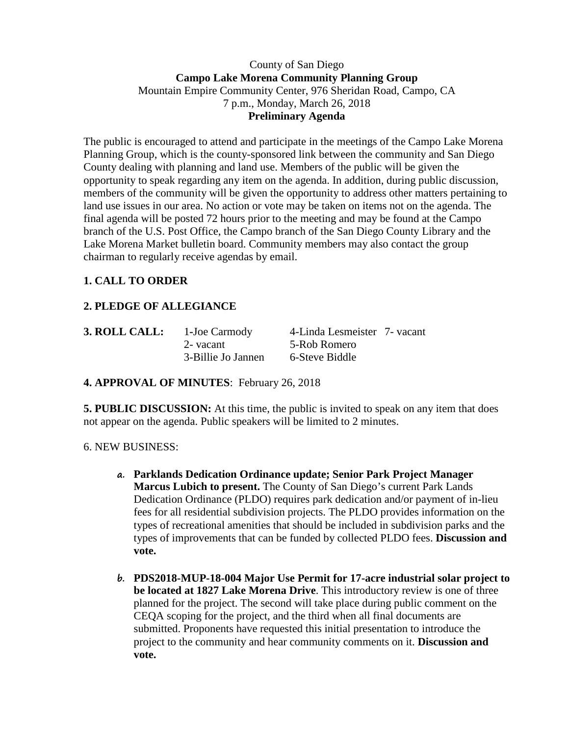## County of San Diego **Campo Lake Morena Community Planning Group** Mountain Empire Community Center, 976 Sheridan Road, Campo, CA 7 p.m., Monday, March 26, 2018 **Preliminary Agenda**

The public is encouraged to attend and participate in the meetings of the Campo Lake Morena Planning Group, which is the county-sponsored link between the community and San Diego County dealing with planning and land use. Members of the public will be given the opportunity to speak regarding any item on the agenda. In addition, during public discussion, members of the community will be given the opportunity to address other matters pertaining to land use issues in our area. No action or vote may be taken on items not on the agenda. The final agenda will be posted 72 hours prior to the meeting and may be found at the Campo branch of the U.S. Post Office, the Campo branch of the San Diego County Library and the Lake Morena Market bulletin board. Community members may also contact the group chairman to regularly receive agendas by email.

# **1. CALL TO ORDER**

# **2. PLEDGE OF ALLEGIANCE**

| 3. ROLL CALL: | 1-Joe Carmody      | 4-Linda Lesmeister 7- vacant |  |
|---------------|--------------------|------------------------------|--|
|               | 2- vacant          | 5-Rob Romero                 |  |
|               | 3-Billie Jo Jannen | 6-Steve Biddle               |  |

## **4. APPROVAL OF MINUTES**: February 26, 2018

**5. PUBLIC DISCUSSION:** At this time, the public is invited to speak on any item that does not appear on the agenda. Public speakers will be limited to 2 minutes.

#### 6. NEW BUSINESS:

- **a. Parklands Dedication Ordinance update; Senior Park Project Manager Marcus Lubich to present.** The County of San Diego's current Park Lands Dedication Ordinance (PLDO) requires park dedication and/or payment of in-lieu fees for all residential subdivision projects. The PLDO provides information on the types of recreational amenities that should be included in subdivision parks and the types of improvements that can be funded by collected PLDO fees. **Discussion and vote.**
- **b. PDS2018-MUP-18-004 Major Use Permit for 17-acre industrial solar project to be located at 1827 Lake Morena Drive**. This introductory review is one of three planned for the project. The second will take place during public comment on the CEQA scoping for the project, and the third when all final documents are submitted. Proponents have requested this initial presentation to introduce the project to the community and hear community comments on it. **Discussion and vote.**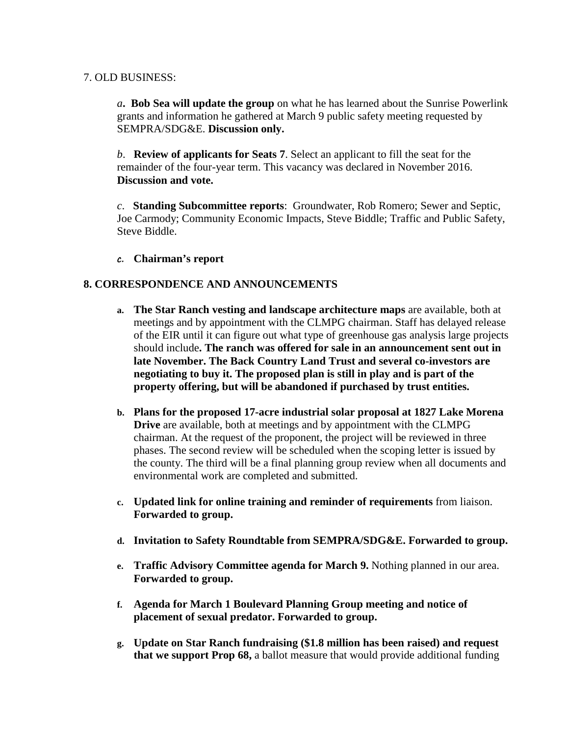## 7. OLD BUSINESS:

*a***. Bob Sea will update the group** on what he has learned about the Sunrise Powerlink grants and information he gathered at March 9 public safety meeting requested by SEMPRA/SDG&E. **Discussion only.**

*b*. **Review of applicants for Seats 7**. Select an applicant to fill the seat for the remainder of the four-year term. This vacancy was declared in November 2016. **Discussion and vote.**

*c*. **Standing Subcommittee reports**: Groundwater, Rob Romero; Sewer and Septic, Joe Carmody; Community Economic Impacts, Steve Biddle; Traffic and Public Safety, Steve Biddle.

**c. Chairman's report**

## **8. CORRESPONDENCE AND ANNOUNCEMENTS**

- **a. The Star Ranch vesting and landscape architecture maps** are available, both at meetings and by appointment with the CLMPG chairman. Staff has delayed release of the EIR until it can figure out what type of greenhouse gas analysis large projects should include**. The ranch was offered for sale in an announcement sent out in late November. The Back Country Land Trust and several co-investors are negotiating to buy it. The proposed plan is still in play and is part of the property offering, but will be abandoned if purchased by trust entities.**
- **b. Plans for the proposed 17-acre industrial solar proposal at 1827 Lake Morena Drive** are available, both at meetings and by appointment with the CLMPG chairman. At the request of the proponent, the project will be reviewed in three phases. The second review will be scheduled when the scoping letter is issued by the county. The third will be a final planning group review when all documents and environmental work are completed and submitted.
- **c. Updated link for online training and reminder of requirements** from liaison. **Forwarded to group.**
- **d. Invitation to Safety Roundtable from SEMPRA/SDG&E. Forwarded to group.**
- **e. Traffic Advisory Committee agenda for March 9.** Nothing planned in our area. **Forwarded to group.**
- **f. Agenda for March 1 Boulevard Planning Group meeting and notice of placement of sexual predator. Forwarded to group.**
- **g. Update on Star Ranch fundraising (\$1.8 million has been raised) and request that we support Prop 68,** a ballot measure that would provide additional funding